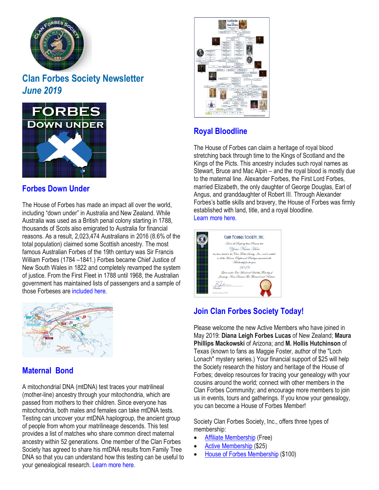

# **Clan Forbes Society Newsletter** *June 2019*



### **[Forbes](https://www.clan-forbes.org/forbes-down-under) Down Under**

The House of Forbes has made an impact all over the world, including "down under" in Australia and New Zealand. While Australia was used as a British penal colony starting in 1788, thousands of Scots also emigrated to Australia for financial reasons. As a result, 2,023,474 Australians in 2016 (8.6% of the total population) claimed some Scottish ancestry. The most famous Australian Forbes of the 19th century was Sir Francis William Forbes (1784 –1841.) Forbes became Chief Justice of New South Wales in 1822 and completely revamped the system of justice. From the First Fleet in 1788 until 1968, the Australian government has maintained lists of passengers and a sample of those Forbeses are [included](https://www.clan-forbes.org/forbes-down-under) here.



### **[Maternal Bond](https://www.clan-forbes.org/mtdna)**

A mitochondrial DNA (mtDNA) test traces your matrilineal (mother-line) ancestry through your mitochondria, which are passed from mothers to their children. Since everyone has mitochondria, both males and females can take mtDNA tests. Testing can uncover your mtDNA haplogroup, the ancient group of people from whom your matrilineage descends. This test provides a list of matches who share common direct maternal ancestry within 52 generations. One member of the Clan Forbes Society has agreed to share his mtDNA results from Family Tree DNA so that you can understand how this testing can be useful to your genealogical research. [Learn](https://www.clan-forbes.org/mtdna) more here.



# **Royal [Bloodline](https://www.clan-forbes.org/royal-bloodline)**

The House of Forbes can claim a heritage of royal blood stretching back through time to the Kings of Scotland and the Kings of the Picts. This ancestry includes such royal names as Stewart, Bruce and Mac Alpin – and the royal blood is mostly due to the maternal line. Alexander Forbes, the First Lord Forbes, married Elizabeth, the only daughter of George Douglas, Earl of Angus, and granddaughter of Robert III. Through Alexander Forbes's battle skills and bravery, the House of Forbes was firmly established with land, title, and a royal bloodline. [Learn](https://www.clan-forbes.org/royal-bloodline) more here.



# **Join Clan Forbes [Society](https://www.clan-forbes.org/join) Today!**

Please welcome the new Active Members who have joined in May 2019: **Diana Leigh Forbes Lucas** of New Zealand; **Maura Phillips Mackowski** of Arizona; and **M. Hollis Hutchinson** of Texas (known to fans as Maggie Foster, author of the "Loch Lonach" mystery series.) Your financial support of \$25 will help the Society research the history and heritage of the House of Forbes; develop resources for tracing your genealogy with your cousins around the world; connect with other members in the Clan Forbes Community; and encourage more members to join us in events, tours and gatherings. If you know your genealogy, you can become a House of Forbes Member!

Society Clan Forbes Society, Inc., offers three types of membership:

- Affiliate [Membership](https://www.clan-forbes.org/affiliate) (Free)
- Active [Membership](https://www.clan-forbes.org/active-membership) (\$25)
- House of Forbes [Membership](https://www.clan-forbes.org/house-of-forbes-member) (\$100)